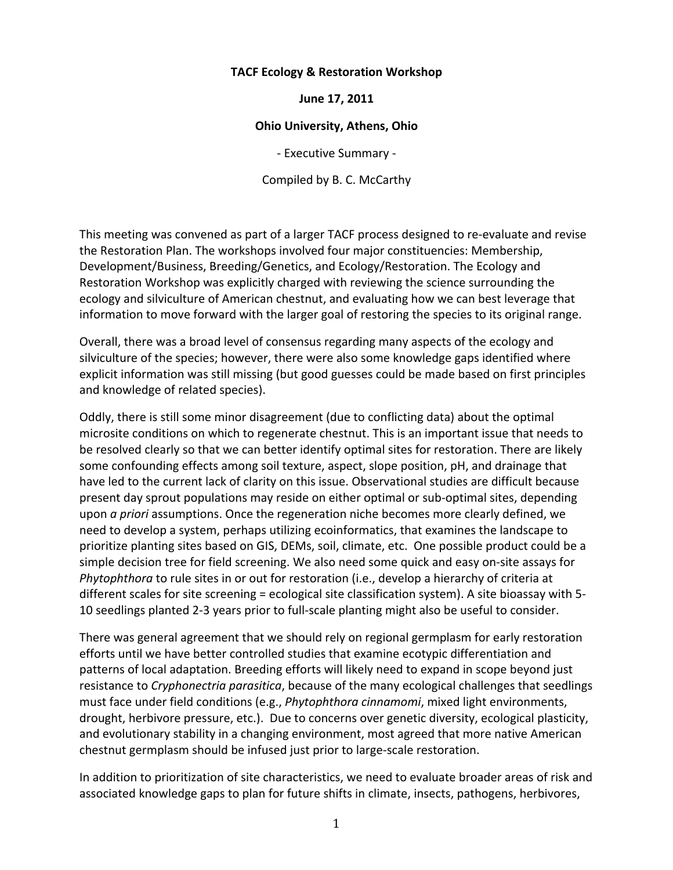# **TACF Ecology & Restoration Workshop**

# June 17, 2011

# **Ohio University, Athens, Ohio**

- Executive Summary -

Compiled by B. C. McCarthy

This meeting was convened as part of a larger TACF process designed to re-evaluate and revise the Restoration Plan. The workshops involved four major constituencies: Membership, Development/Business, Breeding/Genetics, and Ecology/Restoration. The Ecology and Restoration Workshop was explicitly charged with reviewing the science surrounding the ecology and silviculture of American chestnut, and evaluating how we can best leverage that information to move forward with the larger goal of restoring the species to its original range.

Overall, there was a broad level of consensus regarding many aspects of the ecology and silviculture of the species; however, there were also some knowledge gaps identified where explicit information was still missing (but good guesses could be made based on first principles and knowledge of related species).

Oddly, there is still some minor disagreement (due to conflicting data) about the optimal microsite conditions on which to regenerate chestnut. This is an important issue that needs to be resolved clearly so that we can better identify optimal sites for restoration. There are likely some confounding effects among soil texture, aspect, slope position, pH, and drainage that have led to the current lack of clarity on this issue. Observational studies are difficult because present day sprout populations may reside on either optimal or sub-optimal sites, depending upon *a priori* assumptions. Once the regeneration niche becomes more clearly defined, we need to develop a system, perhaps utilizing ecoinformatics, that examines the landscape to prioritize planting sites based on GIS, DEMs, soil, climate, etc. One possible product could be a simple decision tree for field screening. We also need some quick and easy on-site assays for *Phytophthora* to rule sites in or out for restoration (i.e., develop a hierarchy of criteria at different scales for site screening = ecological site classification system). A site bioassay with 5-10 seedlings planted 2-3 years prior to full-scale planting might also be useful to consider.

There was general agreement that we should rely on regional germplasm for early restoration efforts until we have better controlled studies that examine ecotypic differentiation and patterns of local adaptation. Breeding efforts will likely need to expand in scope beyond just resistance to *Cryphonectria parasitica*, because of the many ecological challenges that seedlings must face under field conditions (e.g., *Phytophthora cinnamomi*, mixed light environments, drought, herbivore pressure, etc.). Due to concerns over genetic diversity, ecological plasticity, and evolutionary stability in a changing environment, most agreed that more native American chestnut germplasm should be infused just prior to large-scale restoration.

In addition to prioritization of site characteristics, we need to evaluate broader areas of risk and associated knowledge gaps to plan for future shifts in climate, insects, pathogens, herbivores,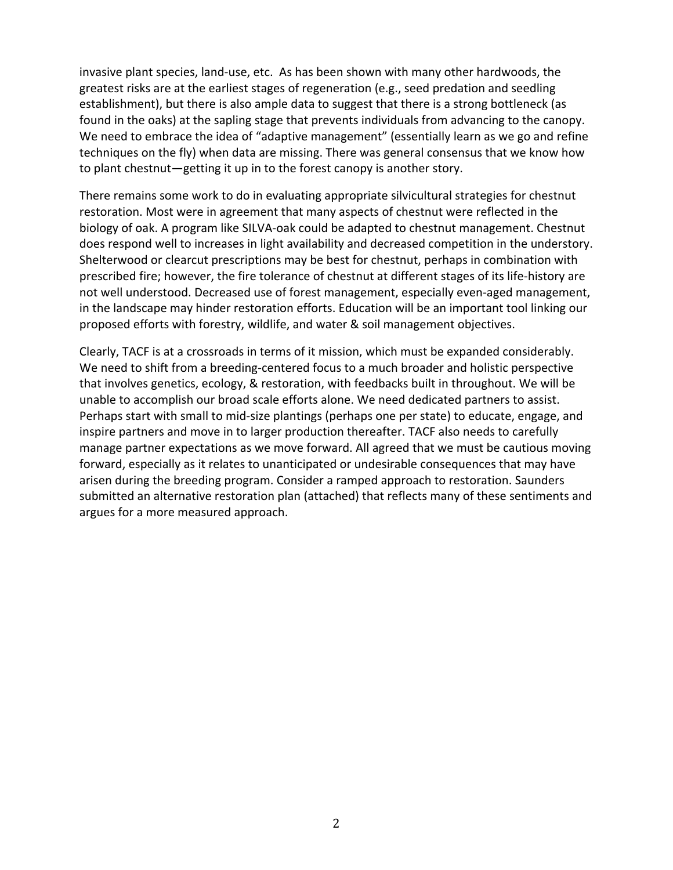invasive plant species, land-use, etc. As has been shown with many other hardwoods, the greatest risks are at the earliest stages of regeneration (e.g., seed predation and seedling establishment), but there is also ample data to suggest that there is a strong bottleneck (as found in the oaks) at the sapling stage that prevents individuals from advancing to the canopy. We need to embrace the idea of "adaptive management" (essentially learn as we go and refine techniques on the fly) when data are missing. There was general consensus that we know how to plant chestnut—getting it up in to the forest canopy is another story.

There remains some work to do in evaluating appropriate silvicultural strategies for chestnut restoration. Most were in agreement that many aspects of chestnut were reflected in the biology of oak. A program like SILVA-oak could be adapted to chestnut management. Chestnut does respond well to increases in light availability and decreased competition in the understory. Shelterwood or clearcut prescriptions may be best for chestnut, perhaps in combination with prescribed fire; however, the fire tolerance of chestnut at different stages of its life-history are not well understood. Decreased use of forest management, especially even-aged management, in the landscape may hinder restoration efforts. Education will be an important tool linking our proposed efforts with forestry, wildlife, and water & soil management objectives.

Clearly, TACF is at a crossroads in terms of it mission, which must be expanded considerably. We need to shift from a breeding-centered focus to a much broader and holistic perspective that involves genetics, ecology, & restoration, with feedbacks built in throughout. We will be unable to accomplish our broad scale efforts alone. We need dedicated partners to assist. Perhaps start with small to mid-size plantings (perhaps one per state) to educate, engage, and inspire partners and move in to larger production thereafter. TACF also needs to carefully manage partner expectations as we move forward. All agreed that we must be cautious moving forward, especially as it relates to unanticipated or undesirable consequences that may have arisen during the breeding program. Consider a ramped approach to restoration. Saunders submitted an alternative restoration plan (attached) that reflects many of these sentiments and argues for a more measured approach.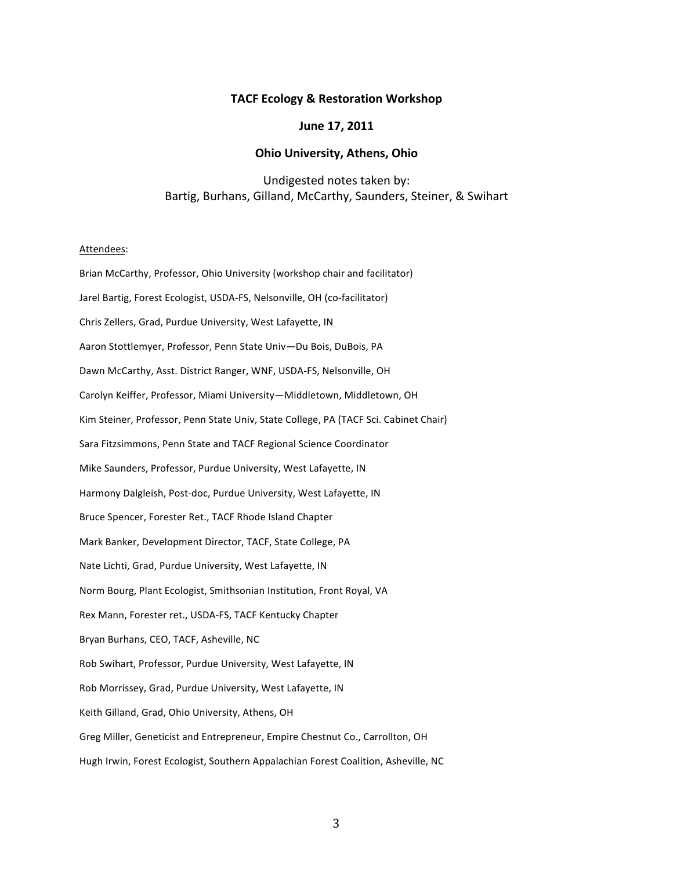## **TACF Ecology & Restoration Workshop**

## June 17, 2011

#### **Ohio University, Athens, Ohio**

# Undigested notes taken by: Bartig, Burhans, Gilland, McCarthy, Saunders, Steiner, & Swihart

#### Attendees:

Brian McCarthy, Professor, Ohio University (workshop chair and facilitator) Jarel Bartig, Forest Ecologist, USDA-FS, Nelsonville, OH (co-facilitator) Chris Zellers, Grad, Purdue University, West Lafayette, IN Aaron Stottlemyer, Professor, Penn State Univ-Du Bois, DuBois, PA Dawn McCarthy, Asst. District Ranger, WNF, USDA-FS, Nelsonville, OH Carolyn Keiffer, Professor, Miami University—Middletown, Middletown, OH Kim Steiner, Professor, Penn State Univ, State College, PA (TACF Sci. Cabinet Chair) Sara Fitzsimmons, Penn State and TACF Regional Science Coordinator Mike Saunders, Professor, Purdue University, West Lafayette, IN Harmony Dalgleish, Post-doc, Purdue University, West Lafayette, IN Bruce Spencer, Forester Ret., TACF Rhode Island Chapter Mark Banker, Development Director, TACF, State College, PA Nate Lichti, Grad, Purdue University, West Lafayette, IN Norm Bourg, Plant Ecologist, Smithsonian Institution, Front Royal, VA Rex Mann, Forester ret., USDA-FS, TACF Kentucky Chapter Bryan Burhans, CEO, TACF, Asheville, NC Rob Swihart, Professor, Purdue University, West Lafayette, IN Rob Morrissey, Grad, Purdue University, West Lafayette, IN Keith Gilland, Grad, Ohio University, Athens, OH Greg Miller, Geneticist and Entrepreneur, Empire Chestnut Co., Carrollton, OH Hugh Irwin, Forest Ecologist, Southern Appalachian Forest Coalition, Asheville, NC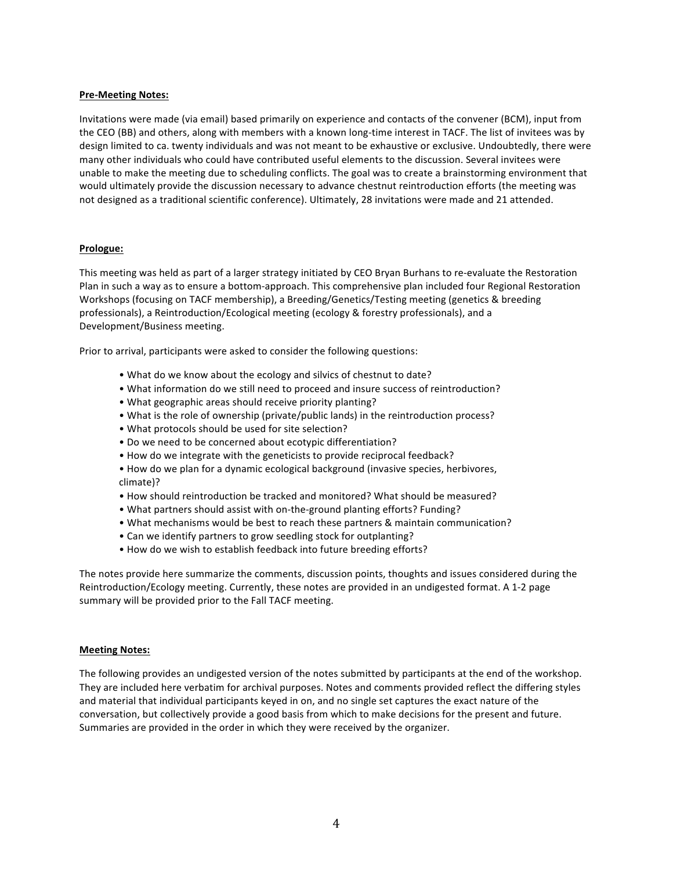### **Pre-Meeting Notes:**

Invitations were made (via email) based primarily on experience and contacts of the convener (BCM), input from the CEO (BB) and others, along with members with a known long-time interest in TACF. The list of invitees was by design limited to ca. twenty individuals and was not meant to be exhaustive or exclusive. Undoubtedly, there were many other individuals who could have contributed useful elements to the discussion. Several invitees were unable to make the meeting due to scheduling conflicts. The goal was to create a brainstorming environment that would ultimately provide the discussion necessary to advance chestnut reintroduction efforts (the meeting was not designed as a traditional scientific conference). Ultimately, 28 invitations were made and 21 attended.

### **Prologue:**

This meeting was held as part of a larger strategy initiated by CEO Bryan Burhans to re-evaluate the Restoration Plan in such a way as to ensure a bottom-approach. This comprehensive plan included four Regional Restoration Workshops (focusing on TACF membership), a Breeding/Genetics/Testing meeting (genetics & breeding professionals), a Reintroduction/Ecological meeting (ecology & forestry professionals), and a Development/Business meeting.

Prior to arrival, participants were asked to consider the following questions:

- What do we know about the ecology and silvics of chestnut to date?
- What information do we still need to proceed and insure success of reintroduction?
- What geographic areas should receive priority planting?
- What is the role of ownership (private/public lands) in the reintroduction process?
- What protocols should be used for site selection?
- Do we need to be concerned about ecotypic differentiation?
- How do we integrate with the geneticists to provide reciprocal feedback?
- How do we plan for a dynamic ecological background (invasive species, herbivores, climate)?
- How should reintroduction be tracked and monitored? What should be measured?
- What partners should assist with on-the-ground planting efforts? Funding?
- What mechanisms would be best to reach these partners & maintain communication?
- Can we identify partners to grow seedling stock for outplanting?
- How do we wish to establish feedback into future breeding efforts?

The notes provide here summarize the comments, discussion points, thoughts and issues considered during the Reintroduction/Ecology meeting. Currently, these notes are provided in an undigested format. A 1-2 page summary will be provided prior to the Fall TACF meeting.

#### **Meeting Notes:**

The following provides an undigested version of the notes submitted by participants at the end of the workshop. They are included here verbatim for archival purposes. Notes and comments provided reflect the differing styles and material that individual participants keyed in on, and no single set captures the exact nature of the conversation, but collectively provide a good basis from which to make decisions for the present and future. Summaries are provided in the order in which they were received by the organizer.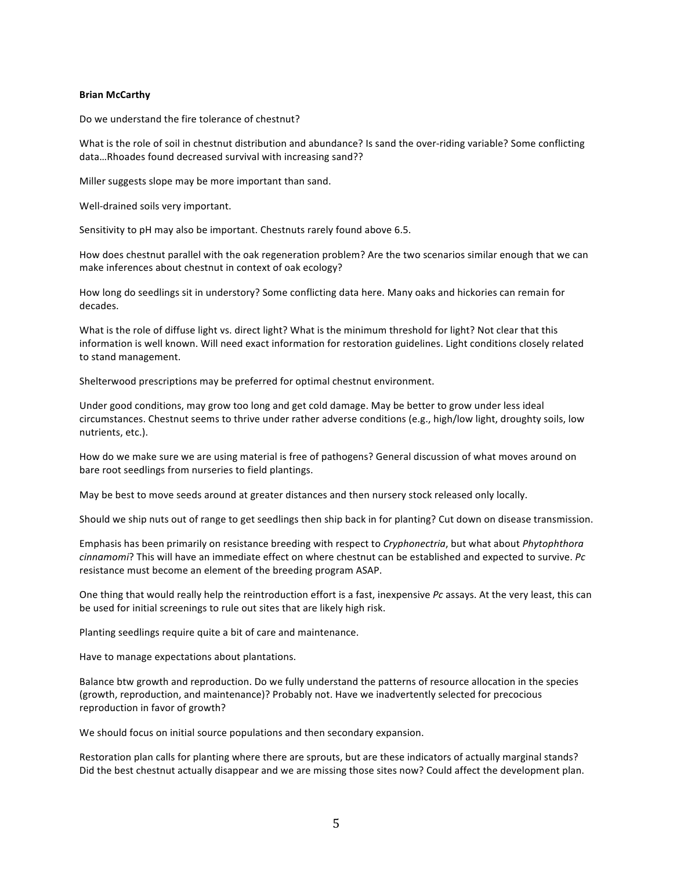#### **Brian McCarthy**

Do we understand the fire tolerance of chestnut?

What is the role of soil in chestnut distribution and abundance? Is sand the over-riding variable? Some conflicting data...Rhoades found decreased survival with increasing sand??

Miller suggests slope may be more important than sand.

Well-drained soils very important.

Sensitivity to pH may also be important. Chestnuts rarely found above 6.5.

How does chestnut parallel with the oak regeneration problem? Are the two scenarios similar enough that we can make inferences about chestnut in context of oak ecology?

How long do seedlings sit in understory? Some conflicting data here. Many oaks and hickories can remain for decades.

What is the role of diffuse light vs. direct light? What is the minimum threshold for light? Not clear that this information is well known. Will need exact information for restoration guidelines. Light conditions closely related to stand management.

Shelterwood prescriptions may be preferred for optimal chestnut environment.

Under good conditions, may grow too long and get cold damage. May be better to grow under less ideal circumstances. Chestnut seems to thrive under rather adverse conditions (e.g., high/low light, droughty soils, low nutrients, etc.).

How do we make sure we are using material is free of pathogens? General discussion of what moves around on bare root seedlings from nurseries to field plantings.

May be best to move seeds around at greater distances and then nursery stock released only locally.

Should we ship nuts out of range to get seedlings then ship back in for planting? Cut down on disease transmission.

Emphasis has been primarily on resistance breeding with respect to *Cryphonectria*, but what about *Phytophthora cinnamomi*? This will have an immediate effect on where chestnut can be established and expected to survive. *Pc* resistance must become an element of the breeding program ASAP.

One thing that would really help the reintroduction effort is a fast, inexpensive Pc assays. At the very least, this can be used for initial screenings to rule out sites that are likely high risk.

Planting seedlings require quite a bit of care and maintenance.

Have to manage expectations about plantations.

Balance btw growth and reproduction. Do we fully understand the patterns of resource allocation in the species (growth, reproduction, and maintenance)? Probably not. Have we inadvertently selected for precocious reproduction in favor of growth?

We should focus on initial source populations and then secondary expansion.

Restoration plan calls for planting where there are sprouts, but are these indicators of actually marginal stands? Did the best chestnut actually disappear and we are missing those sites now? Could affect the development plan.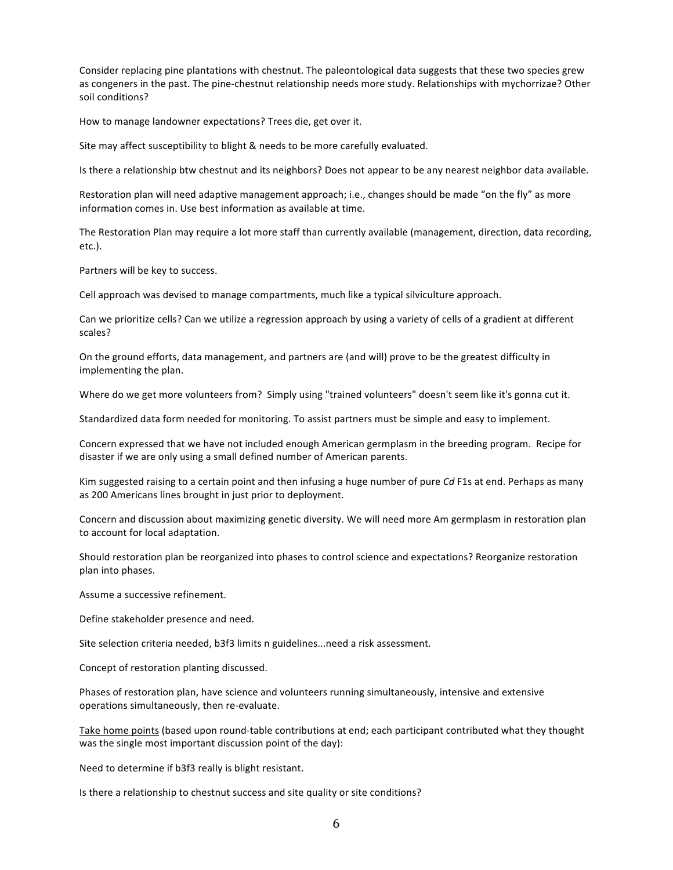Consider replacing pine plantations with chestnut. The paleontological data suggests that these two species grew as congeners in the past. The pine-chestnut relationship needs more study. Relationships with mychorrizae? Other soil conditions?

How to manage landowner expectations? Trees die, get over it.

Site may affect susceptibility to blight & needs to be more carefully evaluated.

Is there a relationship btw chestnut and its neighbors? Does not appear to be any nearest neighbor data available.

Restoration plan will need adaptive management approach; i.e., changes should be made "on the fly" as more information comes in. Use best information as available at time.

The Restoration Plan may require a lot more staff than currently available (management, direction, data recording, etc.).

Partners will be key to success.

Cell approach was devised to manage compartments, much like a typical silviculture approach.

Can we prioritize cells? Can we utilize a regression approach by using a variety of cells of a gradient at different scales?

On the ground efforts, data management, and partners are (and will) prove to be the greatest difficulty in implementing the plan.

Where do we get more volunteers from? Simply using "trained volunteers" doesn't seem like it's gonna cut it.

Standardized data form needed for monitoring. To assist partners must be simple and easy to implement.

Concern expressed that we have not included enough American germplasm in the breeding program. Recipe for disaster if we are only using a small defined number of American parents.

Kim suggested raising to a certain point and then infusing a huge number of pure *Cd* F1s at end. Perhaps as many as 200 Americans lines brought in just prior to deployment.

Concern and discussion about maximizing genetic diversity. We will need more Am germplasm in restoration plan to account for local adaptation.

Should restoration plan be reorganized into phases to control science and expectations? Reorganize restoration plan into phases.

Assume a successive refinement.

Define stakeholder presence and need.

Site selection criteria needed, b3f3 limits n guidelines...need a risk assessment.

Concept of restoration planting discussed.

Phases of restoration plan, have science and volunteers running simultaneously, intensive and extensive operations simultaneously, then re-evaluate.

Take home points (based upon round-table contributions at end; each participant contributed what they thought was the single most important discussion point of the day):

Need to determine if b3f3 really is blight resistant.

Is there a relationship to chestnut success and site quality or site conditions?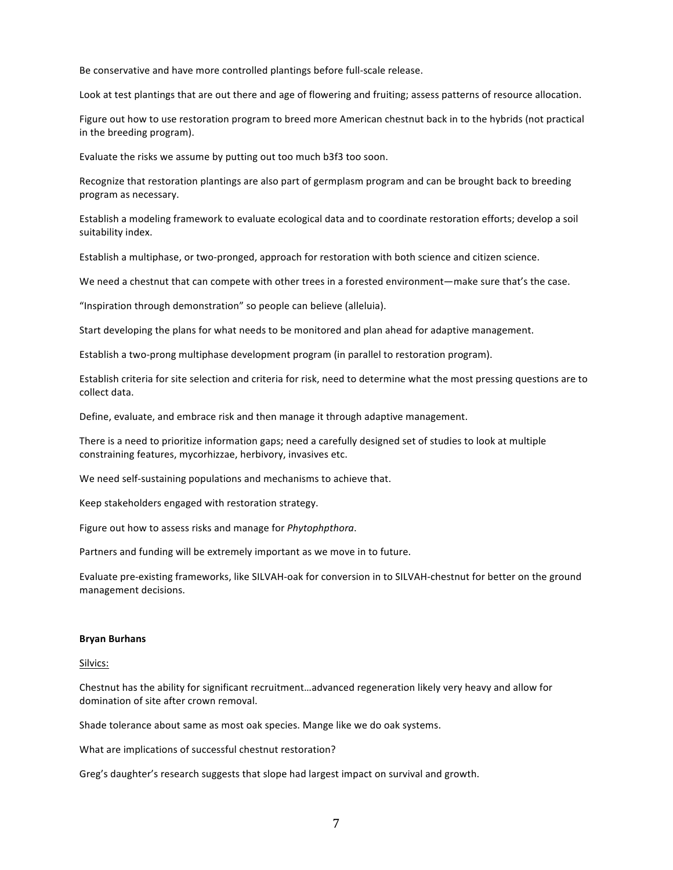Be conservative and have more controlled plantings before full-scale release.

Look at test plantings that are out there and age of flowering and fruiting; assess patterns of resource allocation.

Figure out how to use restoration program to breed more American chestnut back in to the hybrids (not practical in the breeding program).

Evaluate the risks we assume by putting out too much b3f3 too soon.

Recognize that restoration plantings are also part of germplasm program and can be brought back to breeding program as necessary.

Establish a modeling framework to evaluate ecological data and to coordinate restoration efforts; develop a soil suitability index.

Establish a multiphase, or two-pronged, approach for restoration with both science and citizen science.

We need a chestnut that can compete with other trees in a forested environment—make sure that's the case.

"Inspiration through demonstration" so people can believe (alleluia).

Start developing the plans for what needs to be monitored and plan ahead for adaptive management.

Establish a two-prong multiphase development program (in parallel to restoration program).

Establish criteria for site selection and criteria for risk, need to determine what the most pressing questions are to collect data.

Define, evaluate, and embrace risk and then manage it through adaptive management.

There is a need to prioritize information gaps; need a carefully designed set of studies to look at multiple constraining features, mycorhizzae, herbivory, invasives etc.

We need self-sustaining populations and mechanisms to achieve that.

Keep stakeholders engaged with restoration strategy.

Figure out how to assess risks and manage for *Phytophpthora*.

Partners and funding will be extremely important as we move in to future.

Evaluate pre-existing frameworks, like SILVAH-oak for conversion in to SILVAH-chestnut for better on the ground management decisions.

#### **Bryan%Burhans**

#### Silvics:

Chestnut has the ability for significant recruitment...advanced regeneration likely very heavy and allow for domination of site after crown removal.

Shade tolerance about same as most oak species. Mange like we do oak systems.

What are implications of successful chestnut restoration?

Greg's daughter's research suggests that slope had largest impact on survival and growth.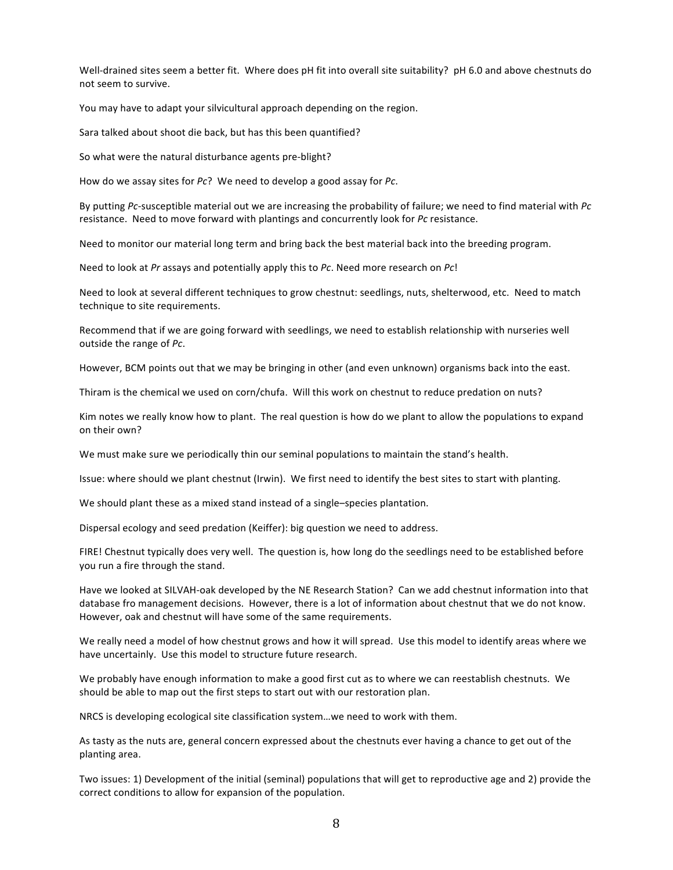Well-drained sites seem a better fit. Where does pH fit into overall site suitability? pH 6.0 and above chestnuts do not seem to survive.

You may have to adapt your silvicultural approach depending on the region.

Sara talked about shoot die back, but has this been quantified?

So what were the natural disturbance agents pre-blight?

How do we assay sites for *Pc*? We need to develop a good assay for *Pc*.

By putting Pc-susceptible material out we are increasing the probability of failure; we need to find material with Pc resistance. Need to move forward with plantings and concurrently look for Pc resistance.

Need to monitor our material long term and bring back the best material back into the breeding program.

Need to look at *Pr* assays and potentially apply this to *Pc*. Need more research on *Pc*!

Need to look at several different techniques to grow chestnut: seedlings, nuts, shelterwood, etc. Need to match technique to site requirements.

Recommend that if we are going forward with seedlings, we need to establish relationship with nurseries well outside the range of Pc.

However, BCM points out that we may be bringing in other (and even unknown) organisms back into the east.

Thiram is the chemical we used on corn/chufa. Will this work on chestnut to reduce predation on nuts?

Kim notes we really know how to plant. The real question is how do we plant to allow the populations to expand on their own?

We must make sure we periodically thin our seminal populations to maintain the stand's health.

Issue: where should we plant chestnut (Irwin). We first need to identify the best sites to start with planting.

We should plant these as a mixed stand instead of a single–species plantation.

Dispersal ecology and seed predation (Keiffer): big question we need to address.

FIRE! Chestnut typically does very well. The question is, how long do the seedlings need to be established before you run a fire through the stand.

Have we looked at SILVAH-oak developed by the NE Research Station? Can we add chestnut information into that database fro management decisions. However, there is a lot of information about chestnut that we do not know. However, oak and chestnut will have some of the same requirements.

We really need a model of how chestnut grows and how it will spread. Use this model to identify areas where we have uncertainly. Use this model to structure future research.

We probably have enough information to make a good first cut as to where we can reestablish chestnuts. We should be able to map out the first steps to start out with our restoration plan.

NRCS is developing ecological site classification system...we need to work with them.

As tasty as the nuts are, general concern expressed about the chestnuts ever having a chance to get out of the planting area.

Two issues: 1) Development of the initial (seminal) populations that will get to reproductive age and 2) provide the correct conditions to allow for expansion of the population.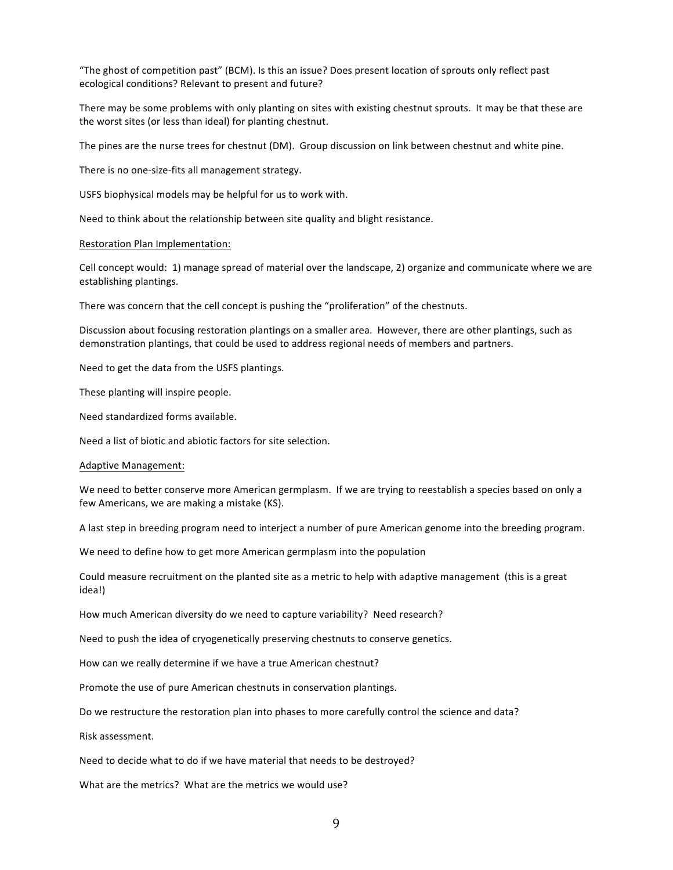"The ghost of competition past" (BCM). Is this an issue? Does present location of sprouts only reflect past ecological conditions? Relevant to present and future?

There may be some problems with only planting on sites with existing chestnut sprouts. It may be that these are the worst sites (or less than ideal) for planting chestnut.

The pines are the nurse trees for chestnut (DM). Group discussion on link between chestnut and white pine.

There is no one-size-fits all management strategy.

USFS biophysical models may be helpful for us to work with.

Need to think about the relationship between site quality and blight resistance.

#### Restoration Plan Implementation:

Cell concept would: 1) manage spread of material over the landscape, 2) organize and communicate where we are establishing plantings.

There was concern that the cell concept is pushing the "proliferation" of the chestnuts.

Discussion about focusing restoration plantings on a smaller area. However, there are other plantings, such as demonstration plantings, that could be used to address regional needs of members and partners.

Need to get the data from the USFS plantings.

These planting will inspire people.

Need standardized forms available.

Need a list of biotic and abiotic factors for site selection.

#### Adaptive Management:

We need to better conserve more American germplasm. If we are trying to reestablish a species based on only a few Americans, we are making a mistake (KS).

A last step in breeding program need to interject a number of pure American genome into the breeding program.

We need to define how to get more American germplasm into the population

Could measure recruitment on the planted site as a metric to help with adaptive management (this is a great idea!)

How much American diversity do we need to capture variability? Need research?

Need to push the idea of cryogenetically preserving chestnuts to conserve genetics.

How can we really determine if we have a true American chestnut?

Promote the use of pure American chestnuts in conservation plantings.

Do we restructure the restoration plan into phases to more carefully control the science and data?

Risk assessment.

Need to decide what to do if we have material that needs to be destroyed?

What are the metrics? What are the metrics we would use?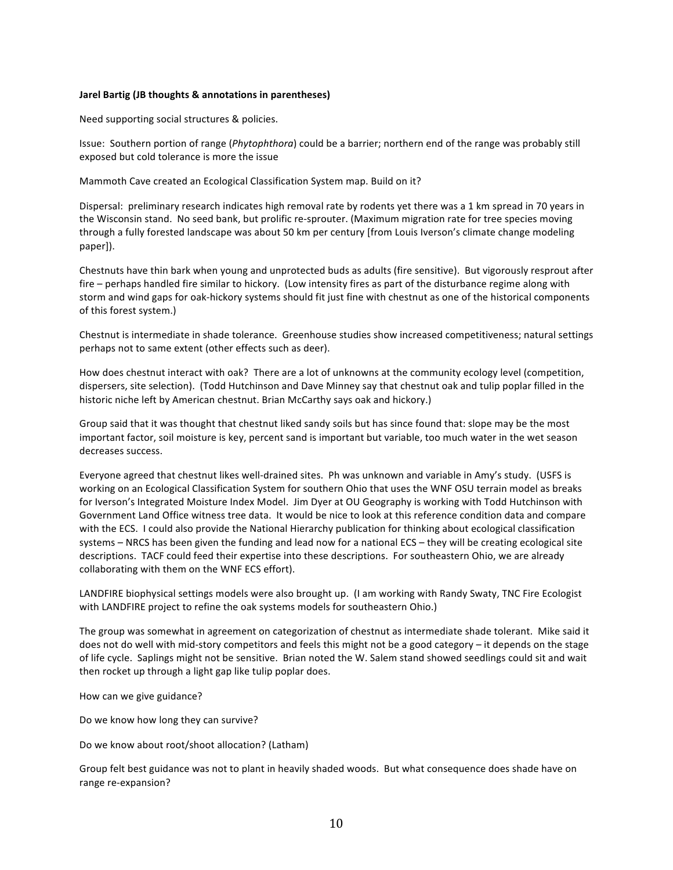#### **Jarel Bartig (JB thoughts & annotations in parentheses)**

Need supporting social structures & policies.

Issue: Southern portion of range (Phytophthora) could be a barrier; northern end of the range was probably still exposed but cold tolerance is more the issue

Mammoth Cave created an Ecological Classification System map. Build on it?

Dispersal: preliminary research indicates high removal rate by rodents yet there was a 1 km spread in 70 years in the Wisconsin stand. No seed bank, but prolific re-sprouter. (Maximum migration rate for tree species moving through a fully forested landscape was about 50 km per century [from Louis Iverson's climate change modeling" paper]).

Chestnuts have thin bark when young and unprotected buds as adults (fire sensitive). But vigorously resprout after fire – perhaps handled fire similar to hickory. (Low intensity fires as part of the disturbance regime along with storm and wind gaps for oak-hickory systems should fit just fine with chestnut as one of the historical components of this forest system.)

Chestnut is intermediate in shade tolerance. Greenhouse studies show increased competitiveness; natural settings perhaps not to same extent (other effects such as deer).

How does chestnut interact with oak? There are a lot of unknowns at the community ecology level (competition, dispersers, site selection). (Todd Hutchinson and Dave Minney say that chestnut oak and tulip poplar filled in the historic niche left by American chestnut. Brian McCarthy says oak and hickory.)

Group said that it was thought that chestnut liked sandy soils but has since found that: slope may be the most important factor, soil moisture is key, percent sand is important but variable, too much water in the wet season decreases success.

Everyone agreed that chestnut likes well-drained sites. Ph was unknown and variable in Amy's study. (USFS is working on an Ecological Classification System for southern Ohio that uses the WNF OSU terrain model as breaks for Iverson's Integrated Moisture Index Model. Jim Dyer at OU Geography is working with Todd Hutchinson with Government Land Office witness tree data. It would be nice to look at this reference condition data and compare with the ECS. I could also provide the National Hierarchy publication for thinking about ecological classification systems – NRCS has been given the funding and lead now for a national ECS – they will be creating ecological site descriptions. TACF could feed their expertise into these descriptions. For southeastern Ohio, we are already collaborating with them on the WNF ECS effort).

LANDFIRE biophysical settings models were also brought up. (I am working with Randy Swaty, TNC Fire Ecologist with LANDFIRE project to refine the oak systems models for southeastern Ohio.)

The group was somewhat in agreement on categorization of chestnut as intermediate shade tolerant. Mike said it does not do well with mid-story competitors and feels this might not be a good category – it depends on the stage of life cycle. Saplings might not be sensitive. Brian noted the W. Salem stand showed seedlings could sit and wait then rocket up through a light gap like tulip poplar does.

How can we give guidance?

Do we know how long they can survive?

Do we know about root/shoot allocation? (Latham)

Group felt best guidance was not to plant in heavily shaded woods. But what consequence does shade have on range re-expansion?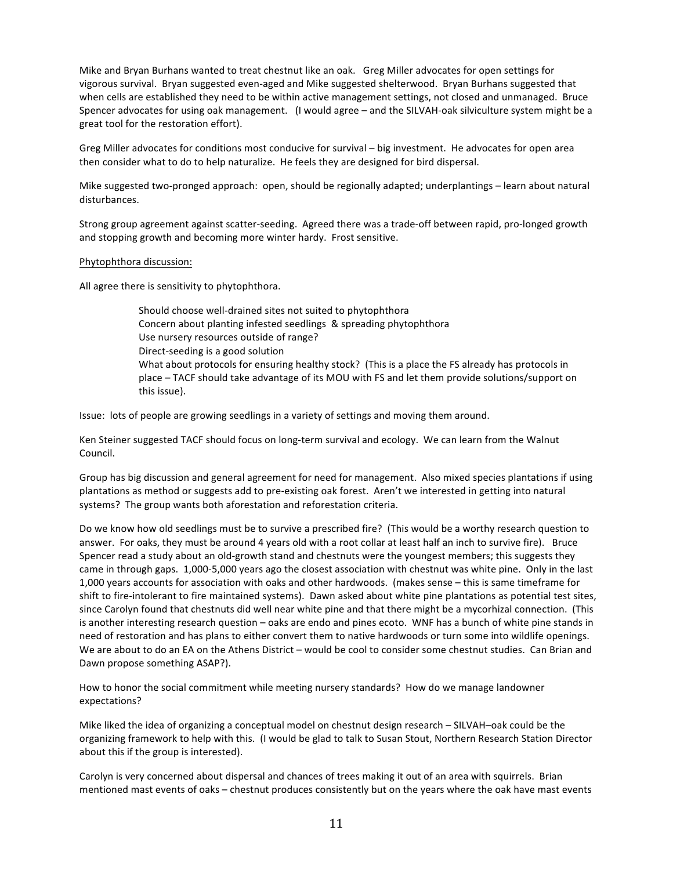Mike and Bryan Burhans wanted to treat chestnut like an oak. Greg Miller advocates for open settings for vigorous survival. Bryan suggested even-aged and Mike suggested shelterwood. Bryan Burhans suggested that when cells are established they need to be within active management settings, not closed and unmanaged. Bruce Spencer advocates for using oak management. (I would agree – and the SILVAH-oak silviculture system might be a great tool for the restoration effort).

Greg Miller advocates for conditions most conducive for survival – big investment. He advocates for open area then consider what to do to help naturalize. He feels they are designed for bird dispersal.

Mike suggested two-pronged approach: open, should be regionally adapted; underplantings – learn about natural disturbances.

Strong group agreement against scatter-seeding. Agreed there was a trade-off between rapid, pro-longed growth and stopping growth and becoming more winter hardy. Frost sensitive.

#### Phytophthora discussion:

All agree there is sensitivity to phytophthora.

Should choose well-drained sites not suited to phytophthora Concern about planting infested seedlings & spreading phytophthora Use nursery resources outside of range? Direct-seeding is a good solution What about protocols for ensuring healthy stock? (This is a place the FS already has protocols in place – TACF should take advantage of its MOU with FS and let them provide solutions/support on this issue).

Issue: lots of people are growing seedlings in a variety of settings and moving them around.

Ken Steiner suggested TACF should focus on long-term survival and ecology. We can learn from the Walnut Council.

Group has big discussion and general agreement for need for management. Also mixed species plantations if using plantations as method or suggests add to pre-existing oak forest. Aren't we interested in getting into natural systems? The group wants both aforestation and reforestation criteria.

Do we know how old seedlings must be to survive a prescribed fire? (This would be a worthy research question to answer. For oaks, they must be around 4 years old with a root collar at least half an inch to survive fire). Bruce Spencer read a study about an old-growth stand and chestnuts were the youngest members; this suggests they" came in through gaps. 1,000-5,000 years ago the closest association with chestnut was white pine. Only in the last 1,000 years accounts for association with oaks and other hardwoods. (makes sense – this is same timeframe for shift to fire-intolerant to fire maintained systems). Dawn asked about white pine plantations as potential test sites, since Carolyn found that chestnuts did well near white pine and that there might be a mycorhizal connection. (This is another interesting research question – oaks are endo and pines ecoto. WNF has a bunch of white pine stands in need of restoration and has plans to either convert them to native hardwoods or turn some into wildlife openings. We are about to do an EA on the Athens District – would be cool to consider some chestnut studies. Can Brian and Dawn propose something ASAP?).

How to honor the social commitment while meeting nursery standards? How do we manage landowner expectations?

Mike liked the idea of organizing a conceptual model on chestnut design research - SILVAH-oak could be the organizing framework to help with this. (I would be glad to talk to Susan Stout, Northern Research Station Director about this if the group is interested).

Carolyn is very concerned about dispersal and chances of trees making it out of an area with squirrels. Brian mentioned mast events of oaks – chestnut produces consistently but on the years where the oak have mast events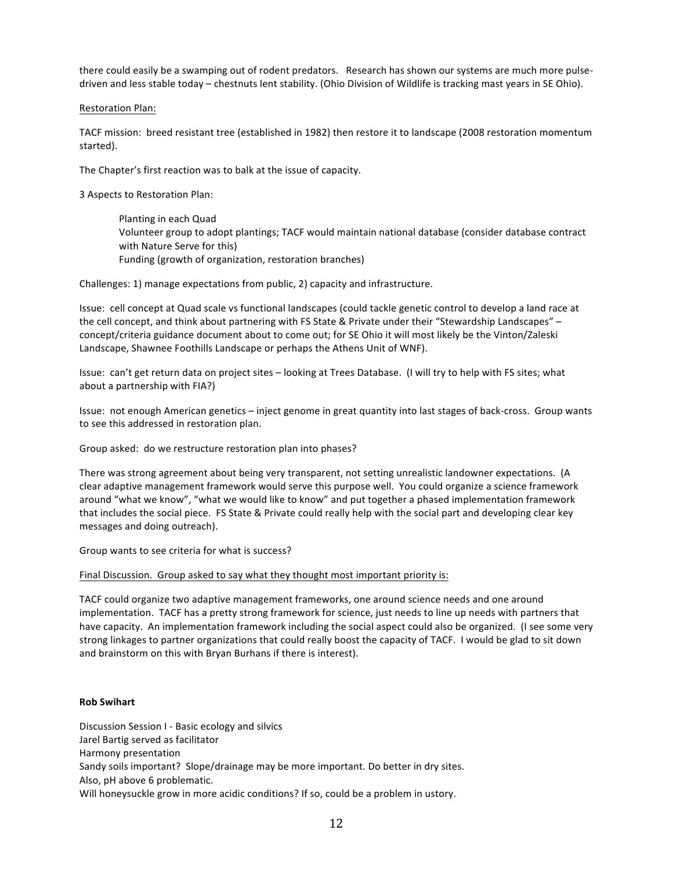there could easily be a swamping out of rodent predators. "Research has shown our systems are much more pulsedriven and less stable today – chestnuts lent stability. (Ohio Division of Wildlife is tracking mast years in SE Ohio).

### Restoration Plan:

TACF mission: breed resistant tree (established in 1982) then restore it to landscape (2008 restoration momentum started).

The Chapter's first reaction was to balk at the issue of capacity.

3 Aspects to Restoration Plan:

Planting in each Quad Volunteer group to adopt plantings; TACF would maintain national database (consider database contract with Nature Serve for this) Funding (growth of organization, restoration branches)

Challenges: 1) manage expectations from public, 2) capacity and infrastructure.

Issue: cell concept at Quad scale vs functional landscapes (could tackle genetic control to develop a land race at the cell concept, and think about partnering with FS State & Private under their "Stewardship Landscapes" – concept/criteria guidance document about to come out; for SE Ohio it will most likely be the Vinton/Zaleski Landscape, Shawnee Foothills Landscape or perhaps the Athens Unit of WNF).

Issue: can't get return data on project sites – looking at Trees Database. (I will try to help with FS sites; what about a partnership with FIA?)

Issue: not enough American genetics – inject genome in great quantity into last stages of back-cross. Group wants to see this addressed in restoration plan.

Group asked: do we restructure restoration plan into phases?

There was strong agreement about being very transparent, not setting unrealistic landowner expectations. (A" clear adaptive management framework would serve this purpose well. You could organize a science framework around "what we know", "what we would like to know" and put together a phased implementation framework that includes the social piece. FS State & Private could really help with the social part and developing clear key messages and doing outreach).

Group wants to see criteria for what is success?

Final Discussion. Group asked to say what they thought most important priority is:

TACF could organize two adaptive management frameworks, one around science needs and one around implementation. TACF has a pretty strong framework for science, just needs to line up needs with partners that have capacity. An implementation framework including the social aspect could also be organized. (I see some very strong linkages to partner organizations that could really boost the capacity of TACF. I would be glad to sit down and brainstorm on this with Bryan Burhans if there is interest).

#### **Rob%Swihart**

Discussion Session I - Basic ecology and silvics Jarel Bartig served as facilitator Harmony presentation Sandy soils important? Slope/drainage may be more important. Do better in dry sites. Also, pH above 6 problematic. Will honeysuckle grow in more acidic conditions? If so, could be a problem in ustory.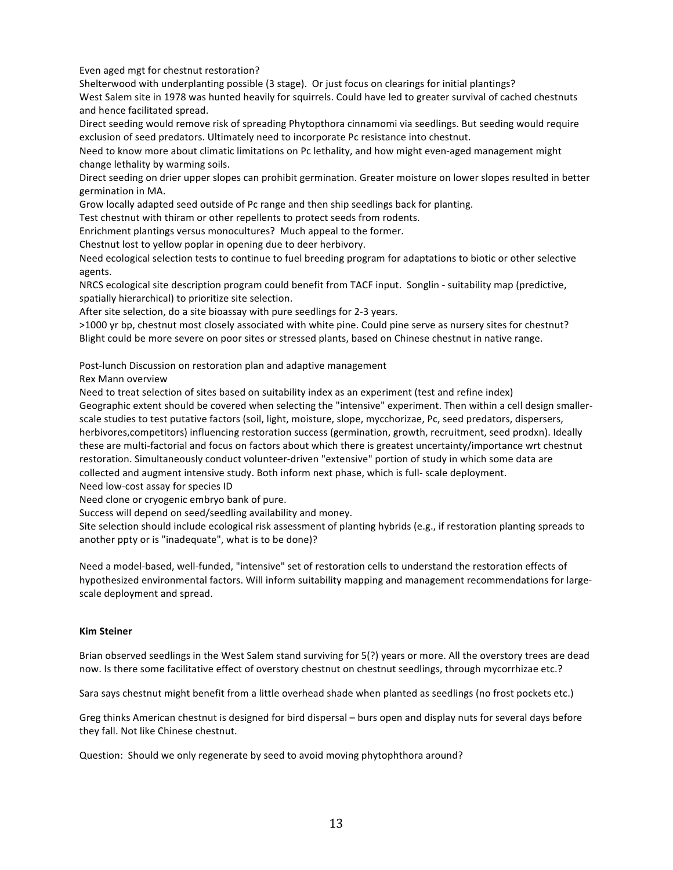Even aged mgt for chestnut restoration?

Shelterwood with underplanting possible (3 stage). Or just focus on clearings for initial plantings? West Salem site in 1978 was hunted heavily for squirrels. Could have led to greater survival of cached chestnuts and hence facilitated spread.

Direct seeding would remove risk of spreading Phytopthora cinnamomi via seedlings. But seeding would require exclusion of seed predators. Ultimately need to incorporate Pc resistance into chestnut.

Need to know more about climatic limitations on Pc lethality, and how might even-aged management might change lethality by warming soils.

Direct seeding on drier upper slopes can prohibit germination. Greater moisture on lower slopes resulted in better germination in MA.

Grow locally adapted seed outside of Pc range and then ship seedlings back for planting.

Test chestnut with thiram or other repellents to protect seeds from rodents.

Enrichment plantings versus monocultures? Much appeal to the former.

Chestnut lost to yellow poplar in opening due to deer herbivory.

Need ecological selection tests to continue to fuel breeding program for adaptations to biotic or other selective agents.

NRCS ecological site description program could benefit from TACF input. Songlin - suitability map (predictive, spatially hierarchical) to prioritize site selection.

After site selection, do a site bioassay with pure seedlings for 2-3 years.

>1000 yr bp, chestnut most closely associated with white pine. Could pine serve as nursery sites for chestnut? Blight could be more severe on poor sites or stressed plants, based on Chinese chestnut in native range.

Post-lunch Discussion on restoration plan and adaptive management

Rex Mann overview

Need to treat selection of sites based on suitability index as an experiment (test and refine index) Geographic extent should be covered when selecting the "intensive" experiment. Then within a cell design smallerscale studies to test putative factors (soil, light, moisture, slope, mycchorizae, Pc, seed predators, dispersers, herbivores,competitors) influencing restoration success (germination, growth, recruitment, seed prodxn). Ideally these are multi-factorial and focus on factors about which there is greatest uncertainty/importance wrt chestnut restoration. Simultaneously conduct volunteer-driven "extensive" portion of study in which some data are collected and augment intensive study. Both inform next phase, which is full- scale deployment. Need low-cost assay for species ID

Need clone or cryogenic embryo bank of pure.

Success will depend on seed/seedling availability and money.

Site selection should include ecological risk assessment of planting hybrids (e.g., if restoration planting spreads to another ppty or is "inadequate", what is to be done)?

Need a model-based, well-funded, "intensive" set of restoration cells to understand the restoration effects of hypothesized environmental factors. Will inform suitability mapping and management recommendations for largescale deployment and spread.

## **Kim%Steiner**

Brian observed seedlings in the West Salem stand surviving for 5(?) years or more. All the overstory trees are dead now. Is there some facilitative effect of overstory chestnut on chestnut seedlings, through mycorrhizae etc.?

Sara says chestnut might benefit from a little overhead shade when planted as seedlings (no frost pockets etc.)

Greg thinks American chestnut is designed for bird dispersal – burs open and display nuts for several days before they fall. Not like Chinese chestnut.

Question: Should we only regenerate by seed to avoid moving phytophthora around?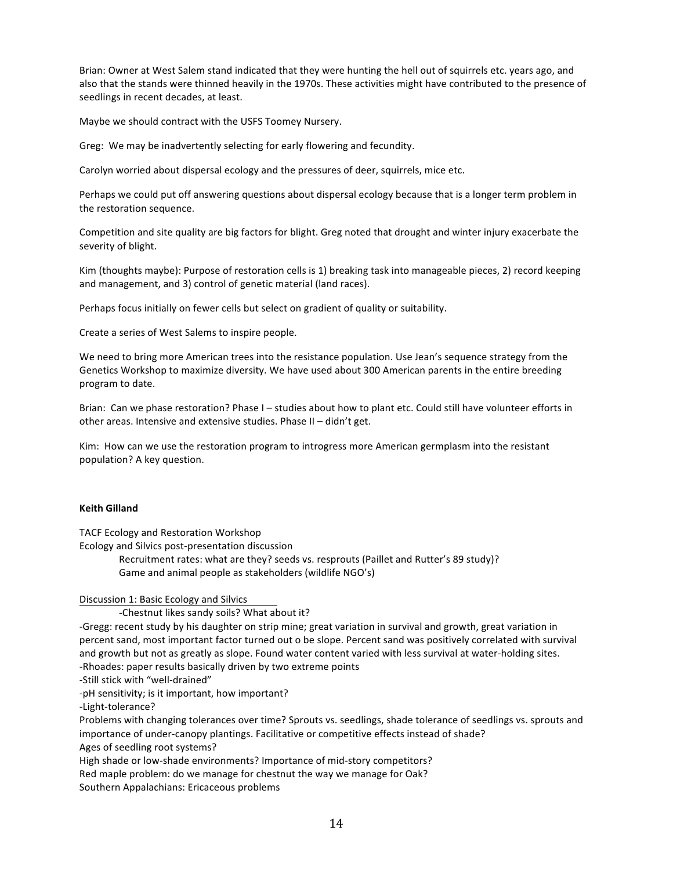Brian: Owner at West Salem stand indicated that they were hunting the hell out of squirrels etc. years ago, and also that the stands were thinned heavily in the 1970s. These activities might have contributed to the presence of seedlings in recent decades, at least.

Maybe we should contract with the USFS Toomey Nursery.

Greg: We may be inadvertently selecting for early flowering and fecundity.

Carolyn worried about dispersal ecology and the pressures of deer, squirrels, mice etc.

Perhaps we could put off answering questions about dispersal ecology because that is a longer term problem in the restoration sequence.

Competition and site quality are big factors for blight. Greg noted that drought and winter injury exacerbate the severity of blight.

Kim (thoughts maybe): Purpose of restoration cells is 1) breaking task into manageable pieces, 2) record keeping and management, and 3) control of genetic material (land races).

Perhaps focus initially on fewer cells but select on gradient of quality or suitability.

Create a series of West Salems to inspire people.

We need to bring more American trees into the resistance population. Use Jean's sequence strategy from the Genetics Workshop to maximize diversity. We have used about 300 American parents in the entire breeding program to date.

Brian: Can we phase restoration? Phase I – studies about how to plant etc. Could still have volunteer efforts in other areas. Intensive and extensive studies. Phase II – didn't get.

Kim: How can we use the restoration program to introgress more American germplasm into the resistant population? A key question.

#### **Keith Gilland**

TACF Ecology and Restoration Workshop

Ecology and Silvics post-presentation discussion

Recruitment rates: what are they? seeds vs. resprouts (Paillet and Rutter's 89 study)? Game and animal people as stakeholders (wildlife NGO's)

## Discussion 1: Basic Ecology and Silvics

-Chestnut likes sandy soils? What about it?

-Gregg: recent study by his daughter on strip mine; great variation in survival and growth, great variation in percent sand, most important factor turned out o be slope. Percent sand was positively correlated with survival and growth but not as greatly as slope. Found water content varied with less survival at water-holding sites. -Rhoades: paper results basically driven by two extreme points

-Still stick with "well-drained"

-pH sensitivity; is it important, how important?

-Light-tolerance?

Problems with changing tolerances over time? Sprouts vs. seedlings, shade tolerance of seedlings vs. sprouts and importance of under-canopy plantings. Facilitative or competitive effects instead of shade? Ages of seedling root systems?

High shade or low-shade environments? Importance of mid-story competitors?

Red maple problem: do we manage for chestnut the way we manage for Oak?

Southern Appalachians: Ericaceous problems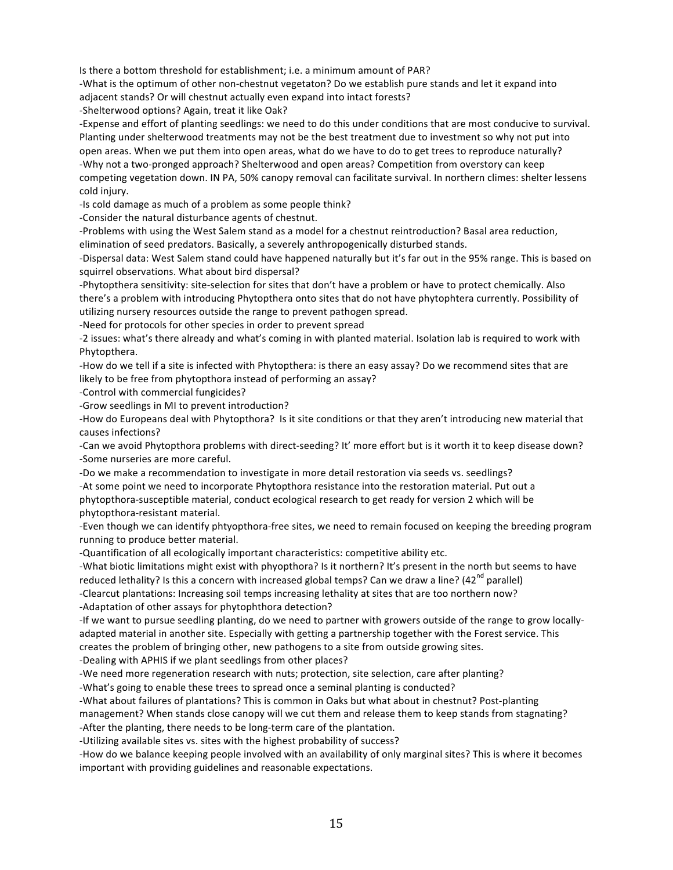Is there a bottom threshold for establishment; i.e. a minimum amount of PAR?

-What is the optimum of other non-chestnut vegetaton? Do we establish pure stands and let it expand into adjacent stands? Or will chestnut actually even expand into intact forests?

-Shelterwood options? Again, treat it like Oak?

-Expense and effort of planting seedlings: we need to do this under conditions that are most conducive to survival. Planting under shelterwood treatments may not be the best treatment due to investment so why not put into open areas. When we put them into open areas, what do we have to do to get trees to reproduce naturally? -Why not a two-pronged approach? Shelterwood and open areas? Competition from overstory can keep competing vegetation down. IN PA, 50% canopy removal can facilitate survival. In northern climes: shelter lessens cold injury.

-Is cold damage as much of a problem as some people think?

-Consider the natural disturbance agents of chestnut.

-Problems with using the West Salem stand as a model for a chestnut reintroduction? Basal area reduction, elimination of seed predators. Basically, a severely anthropogenically disturbed stands.

-Dispersal data: West Salem stand could have happened naturally but it's far out in the 95% range. This is based on squirrel observations. What about bird dispersal?

-Phytopthera sensitivity: site-selection for sites that don't have a problem or have to protect chemically. Also there's a problem with introducing Phytopthera onto sites that do not have phytophtera currently. Possibility of utilizing nursery resources outside the range to prevent pathogen spread.

-Need for protocols for other species in order to prevent spread

-2 issues: what's there already and what's coming in with planted material. Isolation lab is required to work with Phytopthera.

-How do we tell if a site is infected with Phytopthera: is there an easy assay? Do we recommend sites that are likely to be free from phytopthora instead of performing an assay?

-Control with commercial fungicides?

-Grow seedlings in MI to prevent introduction?

-How do Europeans deal with Phytopthora? Is it site conditions or that they aren't introducing new material that causes infections?

-Can we avoid Phytopthora problems with direct-seeding? It' more effort but is it worth it to keep disease down? -Some nurseries are more careful.

-Do we make a recommendation to investigate in more detail restoration via seeds vs. seedlings? -At some point we need to incorporate Phytopthora resistance into the restoration material. Put out a

phytopthora-susceptible material, conduct ecological research to get ready for version 2 which will be phytopthora-resistant material.

-Even though we can identify phtyopthora-free sites, we need to remain focused on keeping the breeding program running to produce better material.

-Quantification of all ecologically important characteristics: competitive ability etc.

-What biotic limitations might exist with phyopthora? Is it northern? It's present in the north but seems to have reduced lethality? Is this a concern with increased global temps? Can we draw a line? ( $42<sup>nd</sup>$  parallel)

-Clearcut plantations: Increasing soil temps increasing lethality at sites that are too northern now?

-Adaptation of other assays for phytophthora detection?

-If we want to pursue seedling planting, do we need to partner with growers outside of the range to grow locallyadapted material in another site. Especially with getting a partnership together with the Forest service. This creates the problem of bringing other, new pathogens to a site from outside growing sites.

-Dealing with APHIS if we plant seedlings from other places?

-We need more regeneration research with nuts; protection, site selection, care after planting?

-What's going to enable these trees to spread once a seminal planting is conducted?

-What about failures of plantations? This is common in Oaks but what about in chestnut? Post-planting

management? When stands close canopy will we cut them and release them to keep stands from stagnating? -After the planting, there needs to be long-term care of the plantation.

-Utilizing available sites vs. sites with the highest probability of success?

-How do we balance keeping people involved with an availability of only marginal sites? This is where it becomes important with providing guidelines and reasonable expectations.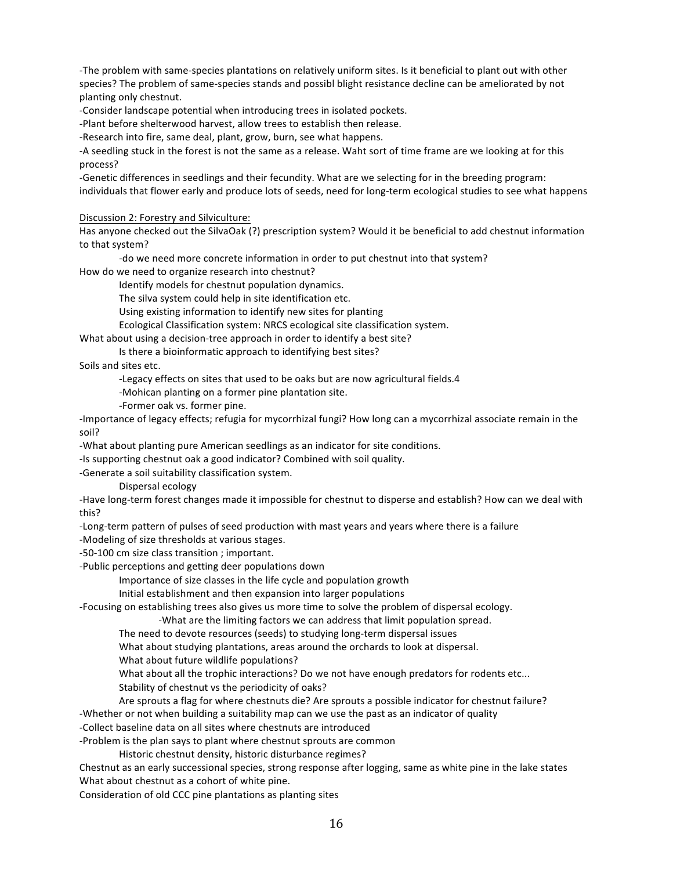-The problem with same-species plantations on relatively uniform sites. Is it beneficial to plant out with other species? The problem of same-species stands and possibl blight resistance decline can be ameliorated by not planting only chestnut.

-Consider landscape potential when introducing trees in isolated pockets.

-Plant before shelterwood harvest, allow trees to establish then release.

-Research into fire, same deal, plant, grow, burn, see what happens.

-A seedling stuck in the forest is not the same as a release. Waht sort of time frame are we looking at for this process?

-Genetic differences in seedlings and their fecundity. What are we selecting for in the breeding program: individuals that flower early and produce lots of seeds, need for long-term ecological studies to see what happens

#### Discussion 2: Forestry and Silviculture:

Has anyone checked out the SilvaOak (?) prescription system? Would it be beneficial to add chestnut information to that system?

-do we need more concrete information in order to put chestnut into that system?

How do we need to organize research into chestnut?

Identify models for chestnut population dynamics.

The silva system could help in site identification etc.

Using existing information to identify new sites for planting

Ecological Classification system: NRCS ecological site classification system.

What about using a decision-tree approach in order to identify a best site?

Is there a bioinformatic approach to identifying best sites?

Soils and sites etc.

-Legacy effects on sites that used to be oaks but are now agricultural fields.4

-Mohican planting on a former pine plantation site.

-Former oak vs. former pine.

-Importance of legacy effects; refugia for mycorrhizal fungi? How long can a mycorrhizal associate remain in the soil?

-What about planting pure American seedlings as an indicator for site conditions.

-Is supporting chestnut oak a good indicator? Combined with soil quality.

-Generate a soil suitability classification system.

Dispersal ecology

-Have long-term forest changes made it impossible for chestnut to disperse and establish? How can we deal with this?

-Long-term pattern of pulses of seed production with mast years and years where there is a failure

-Modeling of size thresholds at various stages.

-50-100 cm size class transition; important.

-Public perceptions and getting deer populations down

Importance of size classes in the life cycle and population growth

Initial establishment and then expansion into larger populations

-Focusing on establishing trees also gives us more time to solve the problem of dispersal ecology.

-What are the limiting factors we can address that limit population spread.

The need to devote resources (seeds) to studying long-term dispersal issues

What about studying plantations, areas around the orchards to look at dispersal.

What about future wildlife populations?

What about all the trophic interactions? Do we not have enough predators for rodents etc...

Stability of chestnut vs the periodicity of oaks?

Are sprouts a flag for where chestnuts die? Are sprouts a possible indicator for chestnut failure?

-Whether or not when building a suitability map can we use the past as an indicator of quality

-Collect baseline data on all sites where chestnuts are introduced

-Problem is the plan says to plant where chestnut sprouts are common

Historic chestnut density, historic disturbance regimes?

Chestnut as an early successional species, strong response after logging, same as white pine in the lake states What about chestnut as a cohort of white pine.

Consideration of old CCC pine plantations as planting sites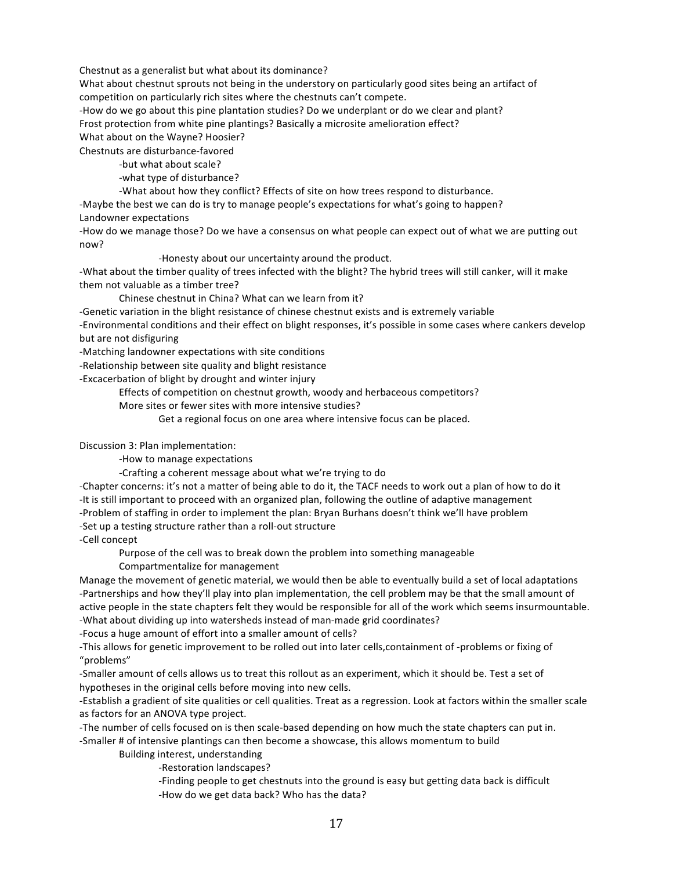Chestnut as a generalist but what about its dominance?

What about chestnut sprouts not being in the understory on particularly good sites being an artifact of competition on particularly rich sites where the chestnuts can't compete.

-How do we go about this pine plantation studies? Do we underplant or do we clear and plant?

Frost protection from white pine plantings? Basically a microsite amelioration effect?

What about on the Wayne? Hoosier?

Chestnuts are disturbance-favored

-but what about scale?

-what type of disturbance?

-What about how they conflict? Effects of site on how trees respond to disturbance.

-Maybe the best we can do is try to manage people's expectations for what's going to happen? Landowner expectations

-How do we manage those? Do we have a consensus on what people can expect out of what we are putting out now?

-Honesty about our uncertainty around the product.

-What about the timber quality of trees infected with the blight? The hybrid trees will still canker, will it make them not valuable as a timber tree?

Chinese chestnut in China? What can we learn from it?

-Genetic variation in the blight resistance of chinese chestnut exists and is extremely variable

-Environmental conditions and their effect on blight responses, it's possible in some cases where cankers develop but are not disfiguring

-Matching landowner expectations with site conditions

-Relationship between site quality and blight resistance

-Excacerbation of blight by drought and winter injury

Effects of competition on chestnut growth, woody and herbaceous competitors?

More sites or fewer sites with more intensive studies?

Get a regional focus on one area where intensive focus can be placed.

Discussion 3: Plan implementation:

-How to manage expectations

-Crafting a coherent message about what we're trying to do

-Chapter concerns: it's not a matter of being able to do it, the TACF needs to work out a plan of how to do it -It is still important to proceed with an organized plan, following the outline of adaptive management -Problem of staffing in order to implement the plan: Bryan Burhans doesn't think we'll have problem -Set up a testing structure rather than a roll-out structure

-Cell concept

Purpose of the cell was to break down the problem into something manageable

Compartmentalize for management

Manage the movement of genetic material, we would then be able to eventually build a set of local adaptations -Partnerships and how they'll play into plan implementation, the cell problem may be that the small amount of active people in the state chapters felt they would be responsible for all of the work which seems insurmountable. -What about dividing up into watersheds instead of man-made grid coordinates?

-Focus a huge amount of effort into a smaller amount of cells?

-This allows for genetic improvement to be rolled out into later cells,containment of -problems or fixing of "problems"

-Smaller amount of cells allows us to treat this rollout as an experiment, which it should be. Test a set of hypotheses in the original cells before moving into new cells.

-Establish a gradient of site qualities or cell qualities. Treat as a regression. Look at factors within the smaller scale as factors for an ANOVA type project.

. The number of cells focused on is then scale-based depending on how much the state chapters can put in.

-Smaller # of intensive plantings can then become a showcase, this allows momentum to build

Building interest, understanding

-Restoration landscapes?

-Finding people to get chestnuts into the ground is easy but getting data back is difficult -How do we get data back? Who has the data?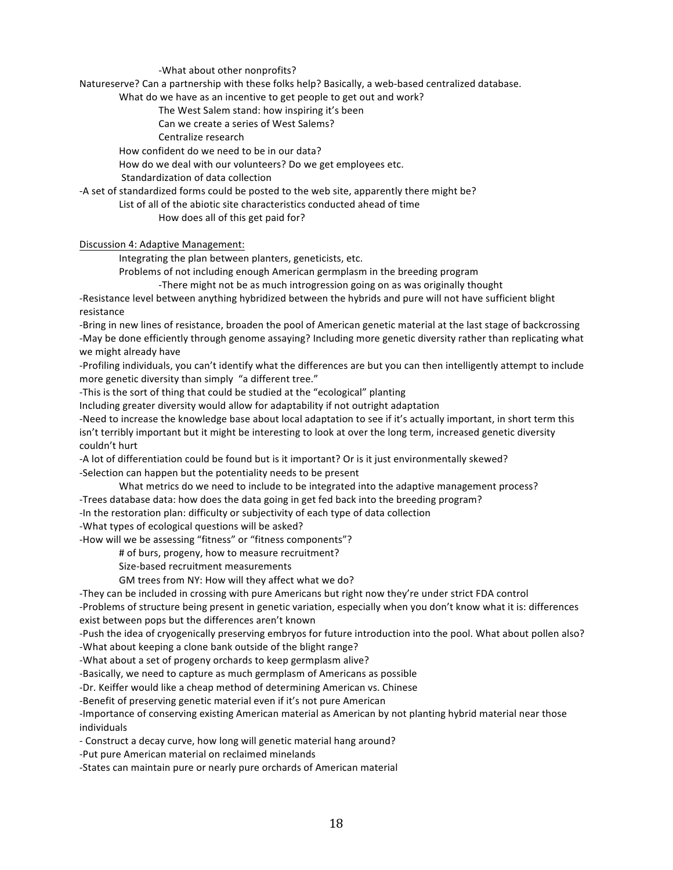-What about other nonprofits?

Natureserve? Can a partnership with these folks help? Basically, a web-based centralized database.

What do we have as an incentive to get people to get out and work?

The West Salem stand: how inspiring it's been

Can we create a series of West Salems?

Centralize research

How confident do we need to be in our data?

How do we deal with our volunteers? Do we get employees etc.

Standardization of data collection

-A set of standardized forms could be posted to the web site, apparently there might be?

List of all of the abiotic site characteristics conducted ahead of time

How does all of this get paid for?

Discussion 4: Adaptive Management:

Integrating the plan between planters, geneticists, etc.

Problems of not including enough American germplasm in the breeding program

-There might not be as much introgression going on as was originally thought

-Resistance level between anything hybridized between the hybrids and pure will not have sufficient blight resistance

-Bring in new lines of resistance, broaden the pool of American genetic material at the last stage of backcrossing -May be done efficiently through genome assaying? Including more genetic diversity rather than replicating what we might already have

-Profiling individuals, you can't identify what the differences are but you can then intelligently attempt to include more genetic diversity than simply "a different tree."

-This is the sort of thing that could be studied at the "ecological" planting

Including greater diversity would allow for adaptability if not outright adaptation

-Need to increase the knowledge base about local adaptation to see if it's actually important, in short term this isn't terribly important but it might be interesting to look at over the long term, increased genetic diversity couldn't hurt

-A lot of differentiation could be found but is it important? Or is it just environmentally skewed? -Selection can happen but the potentiality needs to be present

What metrics do we need to include to be integrated into the adaptive management process?

-Trees database data: how does the data going in get fed back into the breeding program?

-In the restoration plan: difficulty or subjectivity of each type of data collection

-What types of ecological questions will be asked?

-How will we be assessing "fitness" or "fitness components"?

# of burs, progeny, how to measure recruitment?

Size-based recruitment measurements

GM trees from NY: How will they affect what we do?

-They can be included in crossing with pure Americans but right now they're under strict FDA control

-Problems of structure being present in genetic variation, especially when you don't know what it is: differences exist between pops but the differences aren't known

-Push the idea of cryogenically preserving embryos for future introduction into the pool. What about pollen also?

-What about keeping a clone bank outside of the blight range?

-What about a set of progeny orchards to keep germplasm alive?

-Basically, we need to capture as much germplasm of Americans as possible

-Dr. Keiffer would like a cheap method of determining American vs. Chinese

-Benefit of preserving genetic material even if it's not pure American

-Importance of conserving existing American material as American by not planting hybrid material near those individuals

- Construct a decay curve, how long will genetic material hang around?

-Put pure American material on reclaimed minelands

-States can maintain pure or nearly pure orchards of American material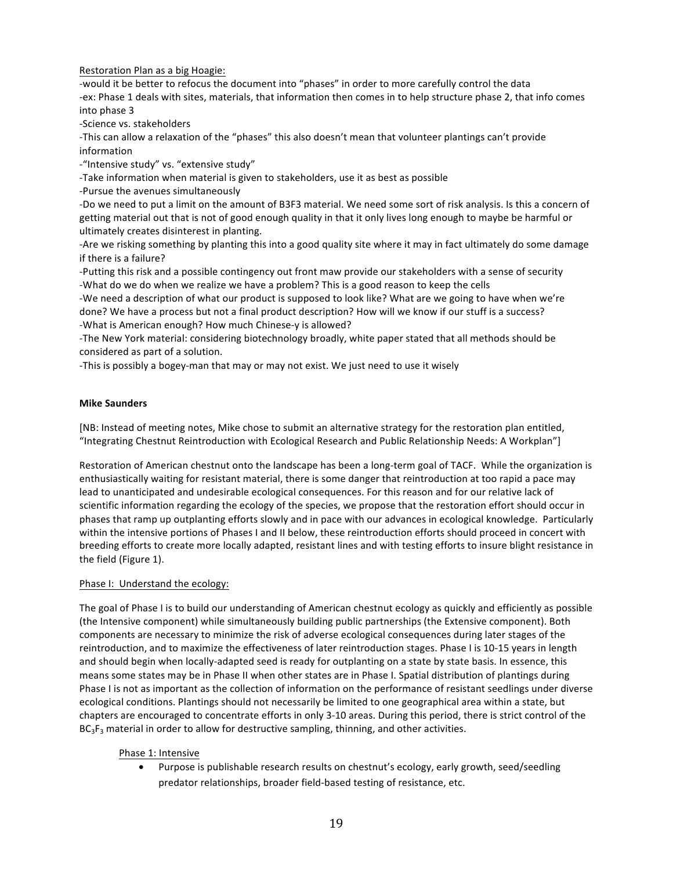Restoration Plan as a big Hoagie:

-would it be better to refocus the document into "phases" in order to more carefully control the data -ex: Phase 1 deals with sites, materials, that information then comes in to help structure phase 2, that info comes into phase 3

-Science vs. stakeholders

-This can allow a relaxation of the "phases" this also doesn't mean that volunteer plantings can't provide information

-"Intensive study" vs. "extensive study"

-Take information when material is given to stakeholders, use it as best as possible

-Pursue the avenues simultaneously

-Do we need to put a limit on the amount of B3F3 material. We need some sort of risk analysis. Is this a concern of getting material out that is not of good enough quality in that it only lives long enough to maybe be harmful or ultimately creates disinterest in planting.

-Are we risking something by planting this into a good quality site where it may in fact ultimately do some damage if there is a failure?

-Putting this risk and a possible contingency out front maw provide our stakeholders with a sense of security -What do we do when we realize we have a problem? This is a good reason to keep the cells

-We need a description of what our product is supposed to look like? What are we going to have when we're done? We have a process but not a final product description? How will we know if our stuff is a success? -What is American enough? How much Chinese-y is allowed?

-The New York material: considering biotechnology broadly, white paper stated that all methods should be considered as part of a solution.

-This is possibly a bogey-man that may or may not exist. We just need to use it wisely

### **Mike Saunders**

[NB: Instead of meeting notes, Mike chose to submit an alternative strategy for the restoration plan entitled, "Integrating Chestnut Reintroduction with Ecological Research and Public Relationship Needs: A Workplan"]

Restoration of American chestnut onto the landscape has been a long-term goal of TACF. While the organization is enthusiastically waiting for resistant material, there is some danger that reintroduction at too rapid a pace may lead to unanticipated and undesirable ecological consequences. For this reason and for our relative lack of scientific information regarding the ecology of the species, we propose that the restoration effort should occur in phases that ramp up outplanting efforts slowly and in pace with our advances in ecological knowledge. Particularly within the intensive portions of Phases I and II below, these reintroduction efforts should proceed in concert with breeding efforts to create more locally adapted, resistant lines and with testing efforts to insure blight resistance in the field (Figure 1).

## Phase I: Understand the ecology:

The goal of Phase I is to build our understanding of American chestnut ecology as quickly and efficiently as possible (the Intensive component) while simultaneously building public partnerships (the Extensive component). Both components are necessary to minimize the risk of adverse ecological consequences during later stages of the reintroduction, and to maximize the effectiveness of later reintroduction stages. Phase I is 10-15 years in length and should begin when locally-adapted seed is ready for outplanting on a state by state basis. In essence, this means some states may be in Phase II when other states are in Phase I. Spatial distribution of plantings during Phase I is not as important as the collection of information on the performance of resistant seedlings under diverse ecological conditions. Plantings should not necessarily be limited to one geographical area within a state, but chapters are encouraged to concentrate efforts in only 3-10 areas. During this period, there is strict control of the  $BC<sub>3</sub>F<sub>3</sub>$  material in order to allow for destructive sampling, thinning, and other activities.

## Phase 1: Intensive

• Purpose is publishable research results on chestnut's ecology, early growth, seed/seedling predator relationships, broader field-based testing of resistance, etc.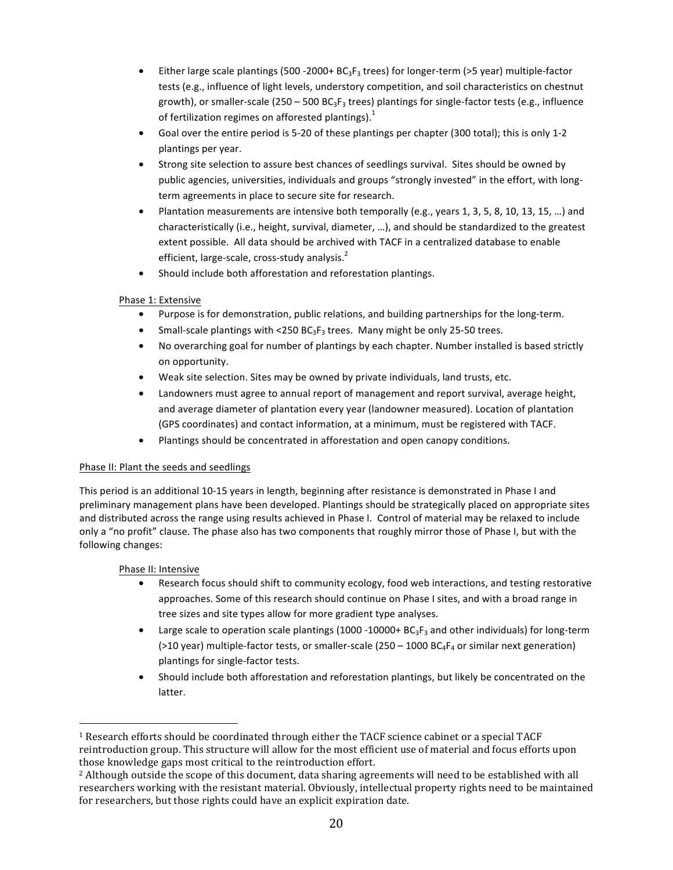- Either large scale plantings (500 2000 +  $BG_3F_3$  trees) for longer-term (>5 year) multiple-factor tests (e.g., influence of light levels, understory competition, and soil characteristics on chestnut growth), or smaller-scale (250 – 500  $BC_3F_3$  trees) plantings for single-factor tests (e.g., influence of fertilization regimes on afforested plantings).<sup>1</sup>
- Goal over the entire period is 5-20 of these plantings per chapter (300 total); this is only 1-2 plantings per year.
- Strong site selection to assure best chances of seedlings survival. Sites should be owned by public agencies, universities, individuals and groups "strongly invested" in the effort, with longterm agreements in place to secure site for research.
- Plantation measurements are intensive both temporally (e.g., years 1, 3, 5, 8, 10, 13, 15, ...) and characteristically (i.e., height, survival, diameter, ...), and should be standardized to the greatest extent possible. All data should be archived with TACF in a centralized database to enable efficient, large-scale, cross-study analysis. $<sup>2</sup>$ </sup>
- Should include both afforestation and reforestation plantings.

# Phase 1: Extensive

- Purpose is for demonstration, public relations, and building partnerships for the long-term.
- Small-scale plantings with <250  $BC_3F_3$  trees. Many might be only 25-50 trees.
- No overarching goal for number of plantings by each chapter. Number installed is based strictly on opportunity.
- Weak site selection. Sites may be owned by private individuals, land trusts, etc.
- Landowners must agree to annual report of management and report survival, average height, and average diameter of plantation every year (landowner measured). Location of plantation (GPS coordinates) and contact information, at a minimum, must be registered with TACF.
- Plantings should be concentrated in afforestation and open canopy conditions.

# Phase II: Plant the seeds and seedlings

This period is an additional 10-15 years in length, beginning after resistance is demonstrated in Phase I and preliminary management plans have been developed. Plantings should be strategically placed on appropriate sites and distributed across the range using results achieved in Phase I. Control of material may be relaxed to include only a "no profit" clause. The phase also has two components that roughly mirror those of Phase I, but with the following changes:

# Phase II: Intensive

- Research focus should shift to community ecology, food web interactions, and testing restorative approaches. Some of this research should continue on Phase I sites, and with a broad range in tree sizes and site types allow for more gradient type analyses.
- Large scale to operation scale plantings (1000 -10000+  $BC_3F_3$  and other individuals) for long-term (>10 year) multiple-factor tests, or smaller-scale (250 – 1000  $BC_4F_4$  or similar next generation) plantings for single-factor tests.
- Should include both afforestation and reforestation plantings, but likely be concentrated on the latter.

<sup>!!!!!!!!!!!!!!!!!!!!!!!!!!!!!!!!!!!!!!!!!!!!!!!!!!!!!!!</sup>  $1$  Research efforts should be coordinated through either the TACF science cabinet or a special TACF reintroduction group. This structure will allow for the most efficient use of material and focus efforts upon those knowledge gaps most critical to the reintroduction effort.

<sup>&</sup>lt;sup>2</sup> Although outside the scope of this document, data sharing agreements will need to be established with all researchers working with the resistant material. Obviously, intellectual property rights need to be maintained for researchers, but those rights could have an explicit expiration date.